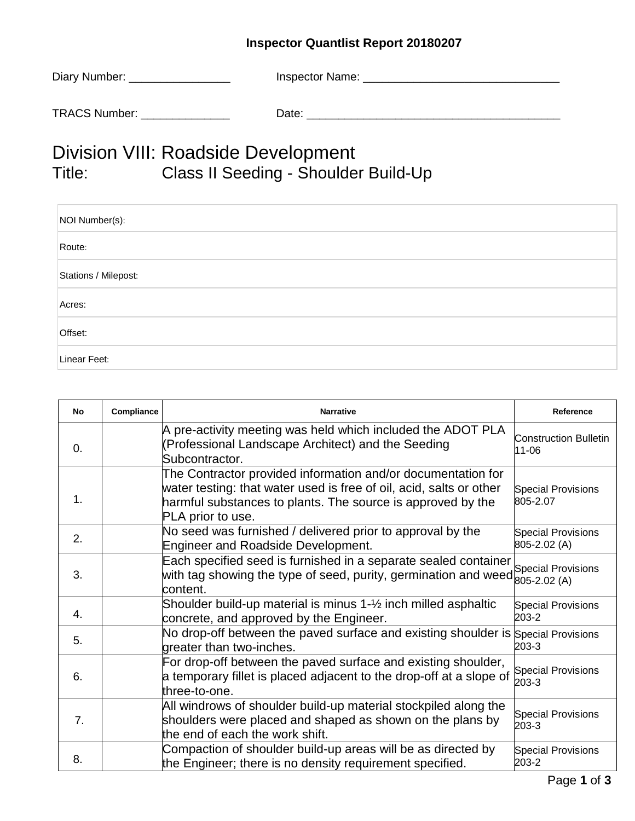## **Inspector Quantlist Report 20180207**

| Diary Number: | Inspector Name: |
|---------------|-----------------|
| TRACS Number: | Date:           |

## Division VIII: Roadside Development<br>Title: Class II Seeding - Shoulde Class II Seeding - Shoulder Build-Up

| NOI Number(s):       |
|----------------------|
| Route:               |
| Stations / Milepost: |
| Acres:               |
| Offset:              |
| Linear Feet:         |

| <b>No</b>      | Compliance | <b>Narrative</b>                                                                                                                                                                                                        | Reference                                 |
|----------------|------------|-------------------------------------------------------------------------------------------------------------------------------------------------------------------------------------------------------------------------|-------------------------------------------|
| 0.             |            | A pre-activity meeting was held which included the ADOT PLA<br>(Professional Landscape Architect) and the Seeding<br>Subcontractor.                                                                                     | <b>Construction Bulletin</b><br>11-06     |
| $\mathbf{1}$ . |            | The Contractor provided information and/or documentation for<br>water testing: that water used is free of oil, acid, salts or other<br>harmful substances to plants. The source is approved by the<br>PLA prior to use. | <b>Special Provisions</b><br>805-2.07     |
| 2.             |            | No seed was furnished / delivered prior to approval by the<br><b>Engineer and Roadside Development.</b>                                                                                                                 | <b>Special Provisions</b><br>805-2.02 (A) |
| 3.             |            | Each specified seed is furnished in a separate sealed container<br>with tag showing the type of seed, purity, germination and weed pressaution<br>content.                                                              | <b>Special Provisions</b>                 |
| 4.             |            | Shoulder build-up material is minus 1-1/2 inch milled asphaltic<br>concrete, and approved by the Engineer.                                                                                                              | <b>Special Provisions</b><br>203-2        |
| 5.             |            | No drop-off between the paved surface and existing shoulder is Special Provisions<br>greater than two-inches.                                                                                                           | 203-3                                     |
| 6.             |            | For drop-off between the paved surface and existing shoulder,<br>a temporary fillet is placed adjacent to the drop-off at a slope of<br>three-to-one.                                                                   | <b>Special Provisions</b><br>203-3        |
| 7.             |            | All windrows of shoulder build-up material stockpiled along the<br>shoulders were placed and shaped as shown on the plans by<br>the end of each the work shift.                                                         | <b>Special Provisions</b><br>203-3        |
| 8.             |            | Compaction of shoulder build-up areas will be as directed by<br>the Engineer; there is no density requirement specified.                                                                                                | <b>Special Provisions</b><br>203-2        |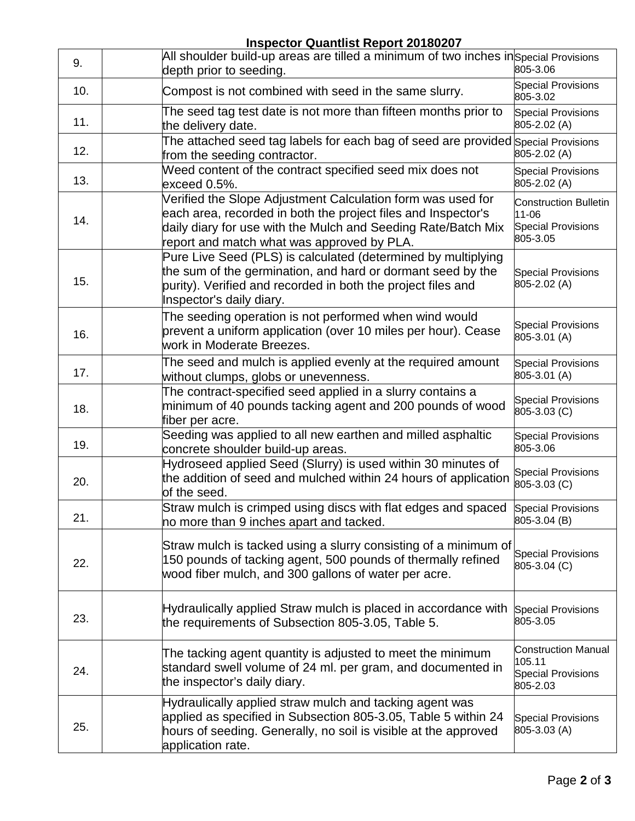| <b>Inspector Quantlist Report 20180207</b> |                                                                                                                                                                                                                                             |                                                                                |  |  |
|--------------------------------------------|---------------------------------------------------------------------------------------------------------------------------------------------------------------------------------------------------------------------------------------------|--------------------------------------------------------------------------------|--|--|
| 9.                                         | All shoulder build-up areas are tilled a minimum of two inches in Special Provisions<br>depth prior to seeding.                                                                                                                             | 805-3.06                                                                       |  |  |
| 10.                                        | Compost is not combined with seed in the same slurry.                                                                                                                                                                                       | <b>Special Provisions</b><br>805-3.02                                          |  |  |
| 11.                                        | The seed tag test date is not more than fifteen months prior to<br>the delivery date.                                                                                                                                                       | <b>Special Provisions</b><br>805-2.02 (A)                                      |  |  |
| 12.                                        | The attached seed tag labels for each bag of seed are provided Special Provisions<br>from the seeding contractor.                                                                                                                           | 805-2.02 (A)                                                                   |  |  |
| 13.                                        | Weed content of the contract specified seed mix does not<br>exceed 0.5%.                                                                                                                                                                    | <b>Special Provisions</b><br>805-2.02 (A)                                      |  |  |
| 14.                                        | Verified the Slope Adjustment Calculation form was used for<br>each area, recorded in both the project files and Inspector's<br>daily diary for use with the Mulch and Seeding Rate/Batch Mix<br>report and match what was approved by PLA. | <b>Construction Bulletin</b><br>11-06<br><b>Special Provisions</b><br>805-3.05 |  |  |
| 15.                                        | Pure Live Seed (PLS) is calculated (determined by multiplying<br>the sum of the germination, and hard or dormant seed by the<br>purity). Verified and recorded in both the project files and<br>Inspector's daily diary.                    | <b>Special Provisions</b><br>805-2.02 (A)                                      |  |  |
| 16.                                        | The seeding operation is not performed when wind would<br>prevent a uniform application (over 10 miles per hour). Cease<br>work in Moderate Breezes.                                                                                        | <b>Special Provisions</b><br>805-3.01 (A)                                      |  |  |
| 17.                                        | The seed and mulch is applied evenly at the required amount<br>without clumps, globs or unevenness.                                                                                                                                         | <b>Special Provisions</b><br>805-3.01 (A)                                      |  |  |
| 18.                                        | The contract-specified seed applied in a slurry contains a<br>minimum of 40 pounds tacking agent and 200 pounds of wood<br>fiber per acre.                                                                                                  | <b>Special Provisions</b><br>805-3.03 (C)                                      |  |  |
| 19.                                        | Seeding was applied to all new earthen and milled asphaltic<br>concrete shoulder build-up areas.                                                                                                                                            | <b>Special Provisions</b><br>805-3.06                                          |  |  |
| 20.                                        | Hydroseed applied Seed (Slurry) is used within 30 minutes of<br>the addition of seed and mulched within 24 hours of application<br>of the seed.                                                                                             | <b>Special Provisions</b><br>805-3.03 (C)                                      |  |  |
| 21.                                        | Straw mulch is crimped using discs with flat edges and spaced<br>no more than 9 inches apart and tacked.                                                                                                                                    | <b>Special Provisions</b><br>805-3.04 (B)                                      |  |  |
| 22.                                        | Straw mulch is tacked using a slurry consisting of a minimum of<br>150 pounds of tacking agent, 500 pounds of thermally refined<br>wood fiber mulch, and 300 gallons of water per acre.                                                     | <b>Special Provisions</b><br>805-3.04 (C)                                      |  |  |
| 23.                                        | Hydraulically applied Straw mulch is placed in accordance with<br>the requirements of Subsection 805-3.05, Table 5.                                                                                                                         | <b>Special Provisions</b><br>805-3.05                                          |  |  |
| 24.                                        | The tacking agent quantity is adjusted to meet the minimum<br>standard swell volume of 24 ml. per gram, and documented in<br>the inspector's daily diary.                                                                                   | <b>Construction Manual</b><br>105.11<br><b>Special Provisions</b><br>805-2.03  |  |  |
| 25.                                        | Hydraulically applied straw mulch and tacking agent was<br>applied as specified in Subsection 805-3.05, Table 5 within 24<br>hours of seeding. Generally, no soil is visible at the approved<br>application rate.                           | <b>Special Provisions</b><br>805-3.03 (A)                                      |  |  |